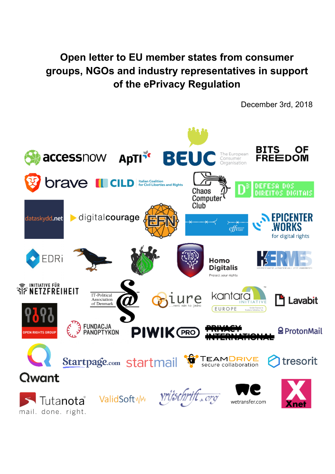## **Open letter to EU member states from consumer groups, NGOs and industry representatives in support of the ePrivacy Regulation**

December 3rd, 2018

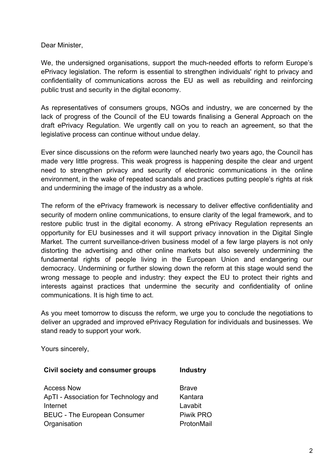Dear Minister,

We, the undersigned organisations, support the much-needed efforts to reform Europe's ePrivacy legislation. The reform is essential to strengthen individuals' right to privacy and confidentiality of communications across the EU as well as rebuilding and reinforcing public trust and security in the digital economy.

As representatives of consumers groups, NGOs and industry, we are concerned by the lack of progress of the Council of the EU towards finalising a General Approach on the draft ePrivacy Regulation. We urgently call on you to reach an agreement, so that the legislative process can continue without undue delay.

Ever since discussions on the reform were launched nearly two years ago, the Council has made very little progress. This weak progress is happening despite the clear and urgent need to strengthen privacy and security of electronic communications in the online environment, in the wake of repeated scandals and practices putting people's rights at risk and undermining the image of the industry as a whole.

The reform of the ePrivacy framework is necessary to deliver effective confidentiality and security of modern online communications, to ensure clarity of the legal framework, and to restore public trust in the digital economy. A strong ePrivacy Regulation represents an opportunity for EU businesses and it will support privacy innovation in the Digital Single Market. The current surveillance-driven business model of a few large players is not only distorting the advertising and other online markets but also severely undermining the fundamental rights of people living in the European Union and endangering our democracy. Undermining or further slowing down the reform at this stage would send the wrong message to people and industry: they expect the EU to protect their rights and interests against practices that undermine the security and confidentiality of online communications. It is high time to act.

As you meet tomorrow to discuss the reform, we urge you to conclude the negotiations to deliver an upgraded and improved ePrivacy Regulation for individuals and businesses. We stand ready to support your work.

Yours sincerely,

| Civil society and consumer groups     | <b>Industry</b> |
|---------------------------------------|-----------------|
| <b>Access Now</b>                     | <b>Brave</b>    |
| ApTI - Association for Technology and | Kantara         |
| Internet                              | Lavabit         |
| <b>BEUC - The European Consumer</b>   | Piwik PRO       |
| Organisation                          | ProtonMail      |